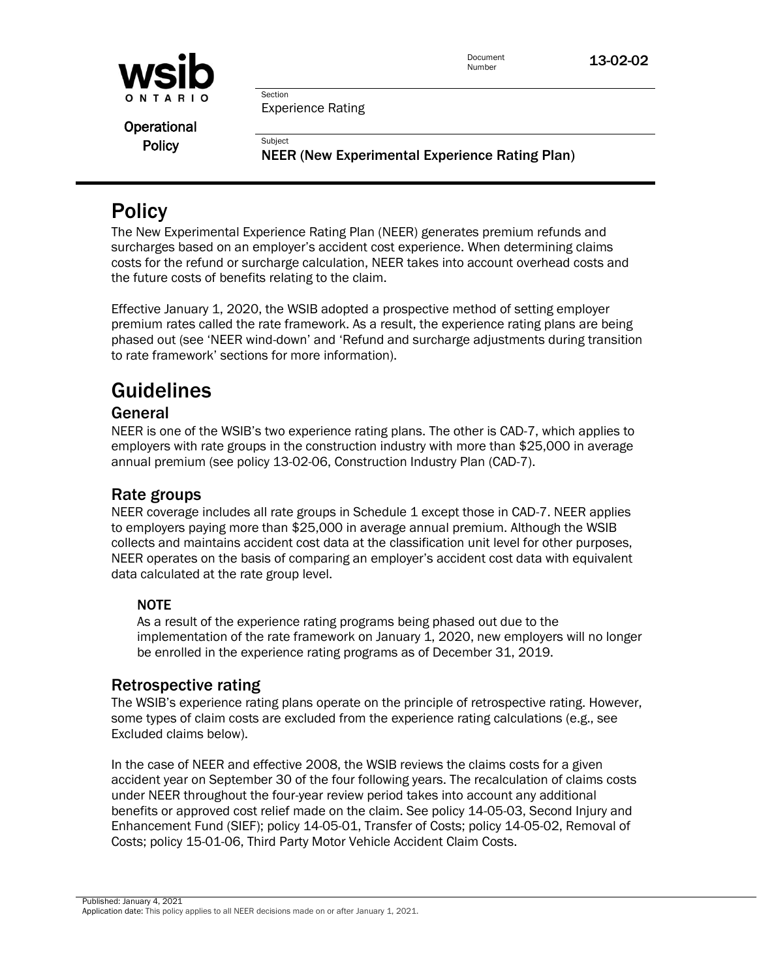

Document **13-02-02** 

Section Experience Rating

Subject

**Operational Policy** 

NEER (New Experimental Experience Rating Plan)

# **Policy**

 surcharges based on an employer's accident cost experience. When determining claims costs for the refund or surcharge calculation, NEER takes into account overhead costs and The New Experimental Experience Rating Plan (NEER) generates premium refunds and the future costs of benefits relating to the claim.

Effective January 1, 2020, the WSIB adopted a prospective method of setting employer premium rates called the rate framework. As a result, the experience rating plans are being phased out (see 'NEER wind-down' and 'Refund and surcharge adjustments during transition to rate framework' sections for more information).

# Guidelines

## General

NEER is one of the WSIB's two experience rating plans. The other is CAD-7, which applies to employers with rate groups in the construction industry with more than \$25,000 in average annual premium (see policy 13-02-06, Construction Industry Plan (CAD-7).

## Rate groups

 NEER operates on the basis of comparing an employer's accident cost data with equivalent NEER coverage includes all rate groups in Schedule 1 except those in CAD-7. NEER applies to employers paying more than \$25,000 in average annual premium. Although the WSIB collects and maintains accident cost data at the classification unit level for other purposes, data calculated at the rate group level.

## NOTE

As a result of the experience rating programs being phased out due to the implementation of the rate framework on January 1, 2020, new employers will no longer be enrolled in the experience rating programs as of December 31, 2019.

## Retrospective rating

The WSIB's experience rating plans operate on the principle of retrospective rating. However, some types of claim costs are excluded from the experience rating calculations (e.g., see Excluded claims below).

In the case of NEER and effective 2008, the WSIB reviews the claims costs for a given accident year on September 30 of the four following years. The recalculation of claims costs under NEER throughout the four-year review period takes into account any additional benefits or approved cost relief made on the claim. See policy 14-05-03, Second Injury and Enhancement Fund (SIEF); policy 14-05-01, Transfer of Costs; policy 14-05-02, Removal of Costs; policy 15-01-06, Third Party Motor Vehicle Accident Claim Costs.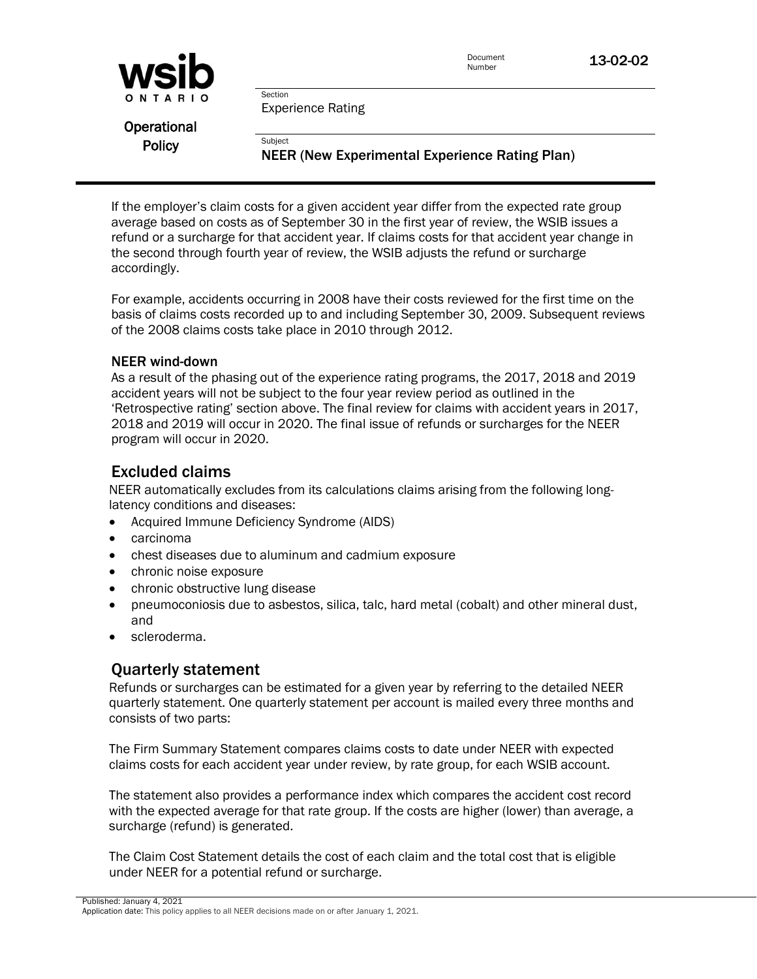

Document **13-02-02** 

Experience Rating

Section

**Subject** 

**Operational Policy** 

NEER (New Experimental Experience Rating Plan)

If the employer's claim costs for a given accident year differ from the expected rate group average based on costs as of September 30 in the first year of review, the WSIB issues a refund or a surcharge for that accident year. If claims costs for that accident year change in the second through fourth year of review, the WSIB adjusts the refund or surcharge accordingly.

For example, accidents occurring in 2008 have their costs reviewed for the first time on the basis of claims costs recorded up to and including September 30, 2009. Subsequent reviews of the 2008 claims costs take place in 2010 through 2012.

#### NEER wind-down

As a result of the phasing out of the experience rating programs, the 2017, 2018 and 2019 accident years will not be subject to the four year review period as outlined in the 'Retrospective rating' section above. The final review for claims with accident years in 2017, 2018 and 2019 will occur in 2020. The final issue of refunds or surcharges for the NEER program will occur in 2020.

## Excluded claims

NEER automatically excludes from its calculations claims arising from the following longlatency conditions and diseases:

- Acquired Immune Deficiency Syndrome (AIDS)
- carcinoma
- chest diseases due to aluminum and cadmium exposure
- chronic noise exposure
- chronic obstructive lung disease
- pneumoconiosis due to asbestos, silica, talc, hard metal (cobalt) and other mineral dust, and
- scleroderma.

## Quarterly statement

 consists of two parts: Refunds or surcharges can be estimated for a given year by referring to the detailed NEER quarterly statement. One quarterly statement per account is mailed every three months and

The Firm Summary Statement compares claims costs to date under NEER with expected claims costs for each accident year under review, by rate group, for each WSIB account.

The statement also provides a performance index which compares the accident cost record with the expected average for that rate group. If the costs are higher (lower) than average, a surcharge (refund) is generated.

The Claim Cost Statement details the cost of each claim and the total cost that is eligible under NEER for a potential refund or surcharge.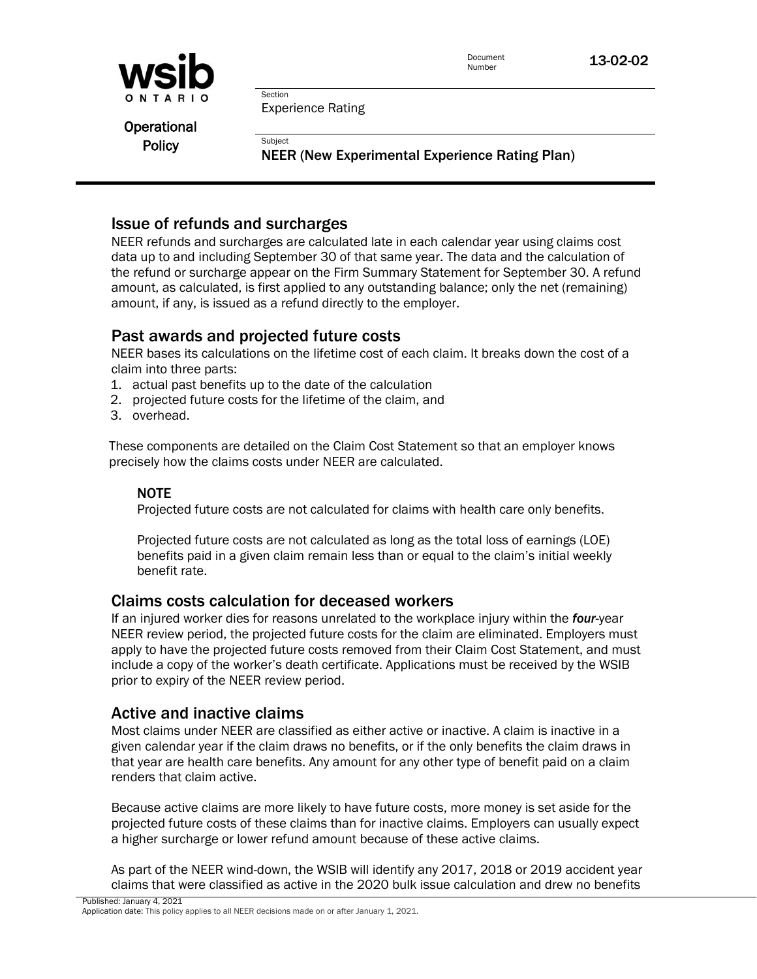

Document **13-02-02** 

Experience Rating

Section

**Subject** 

**Operational Policy** 

NEER (New Experimental Experience Rating Plan)

## Issue of refunds and surcharges

 amount, if any, is issued as a refund directly to the employer. NEER refunds and surcharges are calculated late in each calendar year using claims cost data up to and including September 30 of that same year. The data and the calculation of the refund or surcharge appear on the Firm Summary Statement for September 30. A refund amount, as calculated, is first applied to any outstanding balance; only the net (remaining)

## Past awards and projected future costs

 NEER bases its calculations on the lifetime cost of each claim. It breaks down the cost of a claim into three parts:

- 1. actual past benefits up to the date of the calculation
- 2. projected future costs for the lifetime of the claim, and
- 3. overhead.

 precisely how the claims costs under NEER are calculated. These components are detailed on the Claim Cost Statement so that an employer knows

#### NOTE

Projected future costs are not calculated for claims with health care only benefits.

Projected future costs are not calculated as long as the total loss of earnings (LOE) benefits paid in a given claim remain less than or equal to the claim's initial weekly benefit rate.

## Claims costs calculation for deceased workers

 NEER review period, the projected future costs for the claim are eliminated. Employers must include a copy of the worker's death certificate. Applications must be received by the WSIB If an injured worker dies for reasons unrelated to the workplace injury within the *four-*year apply to have the projected future costs removed from their Claim Cost Statement, and must prior to expiry of the NEER review period.

## Active and inactive claims

Most claims under NEER are classified as either active or inactive. A claim is inactive in a given calendar year if the claim draws no benefits, or if the only benefits the claim draws in that year are health care benefits. Any amount for any other type of benefit paid on a claim renders that claim active.

Because active claims are more likely to have future costs, more money is set aside for the projected future costs of these claims than for inactive claims. Employers can usually expect a higher surcharge or lower refund amount because of these active claims.

As part of the NEER wind-down, the WSIB will identify any 2017, 2018 or 2019 accident year claims that were classified as active in the 2020 bulk issue calculation and drew no benefits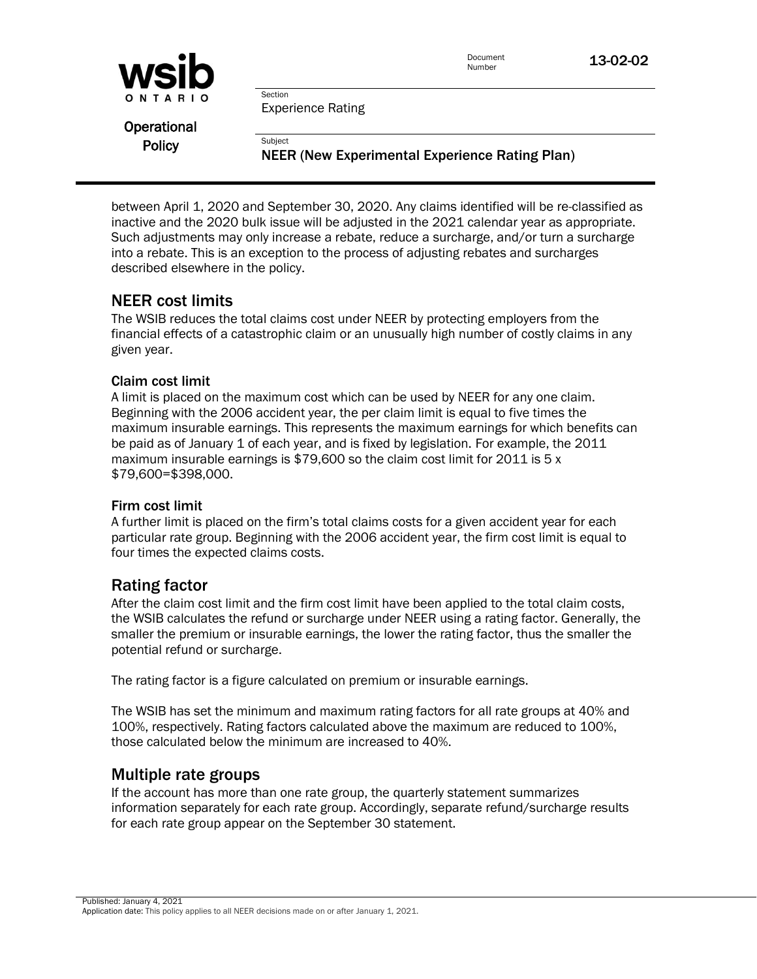

Document **13-02-02** 

Experience Rating

Section

**Subject** 

**Operational Policy** 

NEER (New Experimental Experience Rating Plan)

between April 1, 2020 and September 30, 2020. Any claims identified will be re-classified as inactive and the 2020 bulk issue will be adjusted in the 2021 calendar year as appropriate. Such adjustments may only increase a rebate, reduce a surcharge, and/or turn a surcharge into a rebate. This is an exception to the process of adjusting rebates and surcharges described elsewhere in the policy.

## NEER cost limits

 The WSIB reduces the total claims cost under NEER by protecting employers from the financial effects of a catastrophic claim or an unusually high number of costly claims in any given year.

#### Claim cost limit

 maximum insurable earnings. This represents the maximum earnings for which benefits can be paid as of January 1 of each year, and is fixed by legislation. For example, the 2011 A limit is placed on the maximum cost which can be used by NEER for any one claim. Beginning with the 2006 accident year, the per claim limit is equal to five times the maximum insurable earnings is  $$79,600$  so the claim cost limit for 2011 is 5 x \$79,600=\$398,000.

#### Firm cost limit

A further limit is placed on the firm's total claims costs for a given accident year for each particular rate group. Beginning with the 2006 accident year, the firm cost limit is equal to four times the expected claims costs.

## Rating factor

After the claim cost limit and the firm cost limit have been applied to the total claim costs, the WSIB calculates the refund or surcharge under NEER using a rating factor. Generally, the smaller the premium or insurable earnings, the lower the rating factor, thus the smaller the potential refund or surcharge.

The rating factor is a figure calculated on premium or insurable earnings.

 The WSIB has set the minimum and maximum rating factors for all rate groups at 40% and 100%, respectively. Rating factors calculated above the maximum are reduced to 100%, those calculated below the minimum are increased to 40%.

## Multiple rate groups

If the account has more than one rate group, the quarterly statement summarizes information separately for each rate group. Accordingly, separate refund/surcharge results for each rate group appear on the September 30 statement.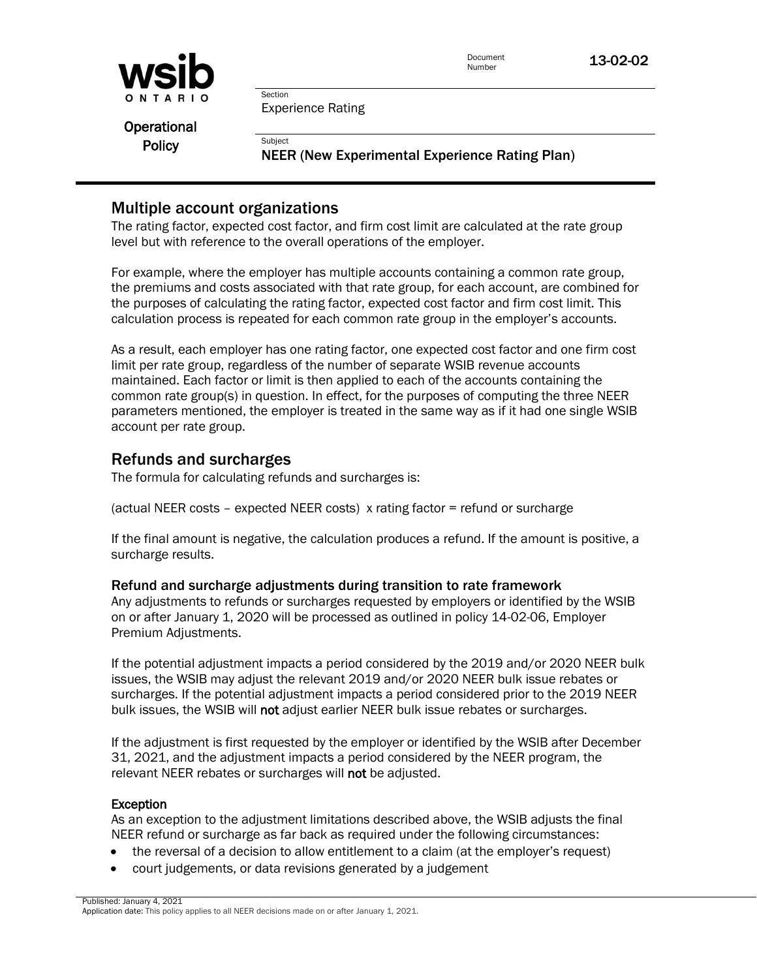

Document **13-02-02** 

Experience Rating

**Section** 

**Subject** 

**Operational Policy** 

NEER (New Experimental Experience Rating Plan)

## Multiple account organizations

 level but with reference to the overall operations of the employer. The rating factor, expected cost factor, and firm cost limit are calculated at the rate group

 the premiums and costs associated with that rate group, for each account, are combined for For example, where the employer has multiple accounts containing a common rate group, the purposes of calculating the rating factor, expected cost factor and firm cost limit. This calculation process is repeated for each common rate group in the employer's accounts.

 As a result, each employer has one rating factor, one expected cost factor and one firm cost limit per rate group, regardless of the number of separate WSIB revenue accounts maintained. Each factor or limit is then applied to each of the accounts containing the common rate group(s) in question. In effect, for the purposes of computing the three NEER parameters mentioned, the employer is treated in the same way as if it had one single WSIB account per rate group.

## Refunds and surcharges

The formula for calculating refunds and surcharges is:

(actual NEER costs – expected NEER costs) x rating factor = refund or surcharge

If the final amount is negative, the calculation produces a refund. If the amount is positive, a surcharge results.

#### Refund and surcharge adjustments during transition to rate framework

 on or after January 1, 2020 will be processed as outlined in policy 14-02-06, Employer Any adjustments to refunds or surcharges requested by employers or identified by the WSIB Premium Adjustments.

If the potential adjustment impacts a period considered by the 2019 and/or 2020 NEER bulk issues, the WSIB may adjust the relevant 2019 and/or 2020 NEER bulk issue rebates or surcharges. If the potential adjustment impacts a period considered prior to the 2019 NEER bulk issues, the WSIB will not adjust earlier NEER bulk issue rebates or surcharges.

If the adjustment is first requested by the employer or identified by the WSIB after December 31, 2021, and the adjustment impacts a period considered by the NEER program, the relevant NEER rebates or surcharges will not be adjusted.

#### **Exception**

As an exception to the adjustment limitations described above, the WSIB adjusts the final NEER refund or surcharge as far back as required under the following circumstances:

- the reversal of a decision to allow entitlement to a claim (at the employer's request)
- court judgements, or data revisions generated by a judgement

 Published: January 4, 2021 Application date: This policy applies to all NEER decisions made on or after January 1, 2021.